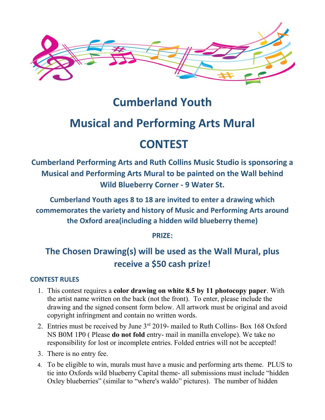

## **Cumberland Youth**

# **Musical and Performing Arts Mural**

## **CONTEST**

**Cumberland Performing Arts and Ruth Collins Music Studio is sponsoring a Musical and Performing Arts Mural to be painted on the Wall behind Wild Blueberry Corner - 9 Water St.**

**Cumberland Youth ages 8 to 18 are invited to enter a drawing which commemorates the variety and history of Music and Performing Arts around the Oxford area(including a hidden wild blueberry theme)**

**PRIZE:**

## **The Chosen Drawing(s) will be used as the Wall Mural, plus receive a \$50 cash prize!**

### **CONTEST RULES**

- 1. This contest requires a **color drawing on white 8.5 by 11 photocopy paper**. With the artist name written on the back (not the front). To enter, please include the drawing and the signed consent form below. All artwork must be original and avoid copyright infringment and contain no written words.
- 2. Entries must be received by June 3<sup>rd</sup> 2019- mailed to Ruth Collins- Box 168 Oxford NS B0M 1P0 ( Please **do not fold** entry- mail in manilla envelope). We take no responsibility for lost or incomplete entries. Folded entries will not be accepted!
- 3. There is no entry fee.
- 4. To be eligible to win, murals must have a music and performing arts theme. PLUS to tie into Oxfords wild blueberry Capital theme- all submissions must include "hidden Oxley blueberries" (similar to "where's waldo" pictures). The number of hidden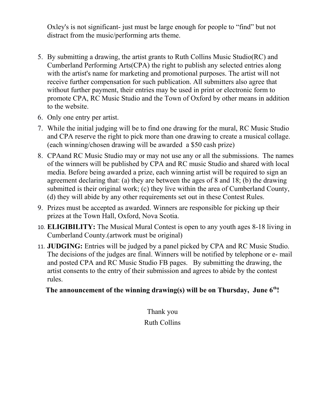Oxley's is not significant- just must be large enough for people to "find" but not distract from the music/performing arts theme.

- 5. By submitting a drawing, the artist grants to Ruth Collins Music Studio(RC) and Cumberland Performing Arts(CPA) the right to publish any selected entries along with the artist's name for marketing and promotional purposes. The artist will not receive further compensation for such publication. All submitters also agree that without further payment, their entries may be used in print or electronic form to promote CPA, RC Music Studio and the Town of Oxford by other means in addition to the website.
- 6. Only one entry per artist.
- 7. While the initial judging will be to find one drawing for the mural, RC Music Studio and CPA reserve the right to pick more than one drawing to create a musical collage. (each winning/chosen drawing will be awarded a \$50 cash prize)
- 8. CPAand RC Music Studio may or may not use any or all the submissions. The names of the winners will be published by CPA and RC music Studio and shared with local media. Before being awarded a prize, each winning artist will be required to sign an agreement declaring that: (a) they are between the ages of 8 and 18; (b) the drawing submitted is their original work; (c) they live within the area of Cumberland County, (d) they will abide by any other requirements set out in these Contest Rules.
- 9. Prizes must be accepted as awarded. Winners are responsible for picking up their prizes at the Town Hall, Oxford, Nova Scotia.
- 10. **ELIGIBILITY:** The Musical Mural Contest is open to any youth ages 8-18 living in Cumberland County.(artwork must be original)
- 11. **JUDGING:** Entries will be judged by a panel picked by CPA and RC Music Studio. The decisions of the judges are final. Winners will be notified by telephone or e- mail and posted CPA and RC Music Studio FB pages. By submitting the drawing, the artist consents to the entry of their submission and agrees to abide by the contest rules.

### **The announcement of the winning drawing(s) will be on Thursday, June 6th!**

Thank you Ruth Collins